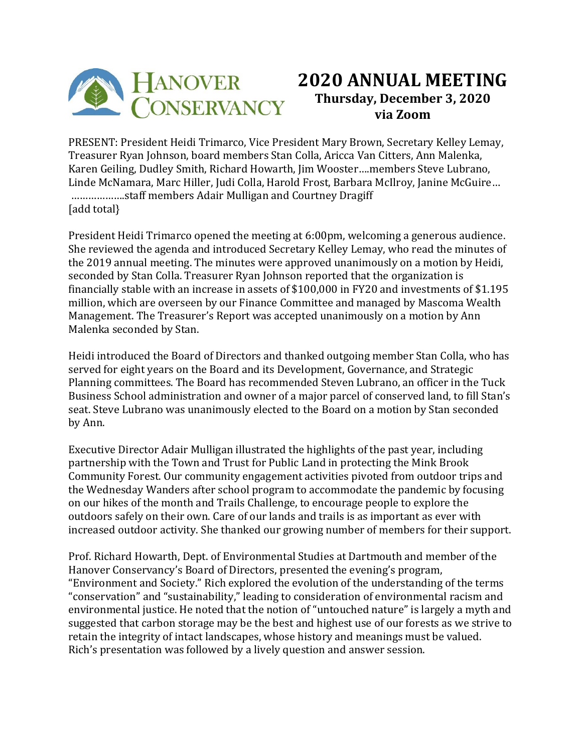

## **2020 ANNUAL MEETING Thursday, December 3, 2020 via Zoom**

PRESENT: President Heidi Trimarco, Vice President Mary Brown, Secretary Kelley Lemay, Treasurer Ryan Johnson, board members Stan Colla, Aricca Van Citters, Ann Malenka, Karen Geiling, Dudley Smith, Richard Howarth, Jim Wooster….members Steve Lubrano, Linde McNamara, Marc Hiller, Judi Colla, Harold Frost, Barbara McIlroy, Janine McGuire… ……………….staff members Adair Mulligan and Courtney Dragiff [add total]

President Heidi Trimarco opened the meeting at 6:00pm, welcoming a generous audience. She reviewed the agenda and introduced Secretary Kelley Lemay, who read the minutes of the 2019 annual meeting. The minutes were approved unanimously on a motion by Heidi, seconded by Stan Colla. Treasurer Ryan Johnson reported that the organization is financially stable with an increase in assets of \$100,000 in FY20 and investments of \$1.195 million, which are overseen by our Finance Committee and managed by Mascoma Wealth Management. The Treasurer's Report was accepted unanimously on a motion by Ann Malenka seconded by Stan.

Heidi introduced the Board of Directors and thanked outgoing member Stan Colla, who has served for eight years on the Board and its Development, Governance, and Strategic Planning committees. The Board has recommended Steven Lubrano, an officer in the Tuck Business School administration and owner of a major parcel of conserved land, to fill Stan's seat. Steve Lubrano was unanimously elected to the Board on a motion by Stan seconded by Ann.

Executive Director Adair Mulligan illustrated the highlights of the past year, including partnership with the Town and Trust for Public Land in protecting the Mink Brook Community Forest. Our community engagement activities pivoted from outdoor trips and the Wednesday Wanders after school program to accommodate the pandemic by focusing on our hikes of the month and Trails Challenge, to encourage people to explore the outdoors safely on their own. Care of our lands and trails is as important as ever with increased outdoor activity. She thanked our growing number of members for their support.

Prof. Richard Howarth, Dept. of Environmental Studies at Dartmouth and member of the Hanover Conservancy's Board of Directors, presented the evening's program, "Environment and Society." Rich explored the evolution of the understanding of the terms "conservation" and "sustainability," leading to consideration of environmental racism and environmental justice. He noted that the notion of "untouched nature" is largely a myth and suggested that carbon storage may be the best and highest use of our forests as we strive to retain the integrity of intact landscapes, whose history and meanings must be valued. Rich's presentation was followed by a lively question and answer session.